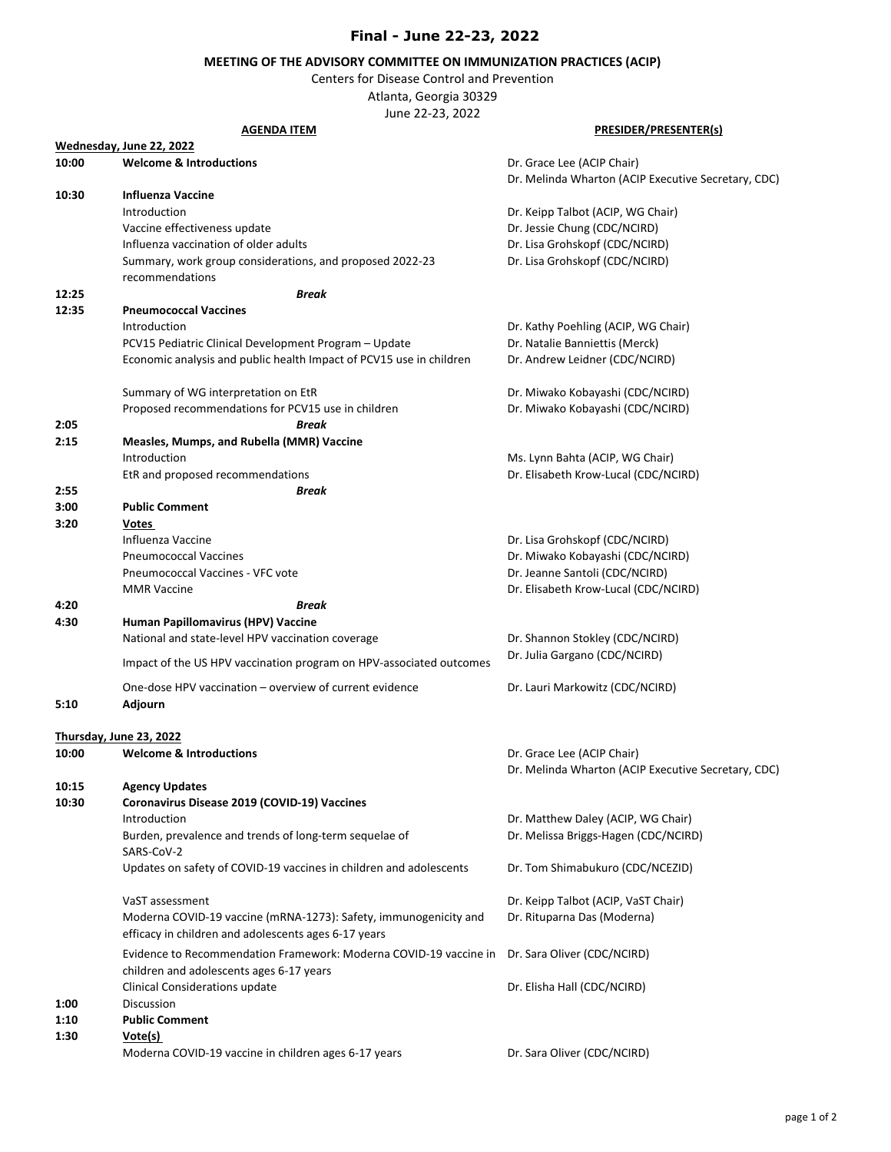## **Final - June 22-23, 2022**

## **MEETING OF THE ADVISORY COMMITTEE ON IMMUNIZATION PRACTICES (ACIP)**

Centers for Disease Control and Prevention

Atlanta, Georgia 30329

June 22-23, 2022

## **PRESIDER/PRESENTER(s) 10:00 Welcome & Introductions Dr. Grace Lee (ACIP Chair)** Dr. Grace Lee (ACIP Chair) Dr. Melinda Wharton (ACIP Executive Secretary, CDC) **10:30 Influenza Vaccine**  Introduction Dr. Keipp Talbot (ACIP, WG Chair) Vaccine effectiveness update **Dr. Jessie Chung (CDC/NCIRD)** Influenza vaccination of older adults Dr. Lisa Grohskopf (CDC/NCIRD) Summary, work group considerations, and proposed 2022-23 recommendations Dr. Lisa Grohskopf (CDC/NCIRD) **12:25** *Break* **12:35 Pneumococcal Vaccines** Introduction Dr. Kathy Poehling (ACIP, WG Chair) PCV15 Pediatric Clinical Development Program – Update Dr. Natalie Banniettis (Merck) Economic analysis and public health Impact of PCV15 use in children Dr. Andrew Leidner (CDC/NCIRD) Summary of WG interpretation on EtR Dr. Miwako Kobayashi (CDC/NCIRD) Proposed recommendations for PCV15 use in children Dr. Miwako Kobayashi (CDC/NCIRD) **2:05** *Break*  **2:15 Measles, Mumps, and Rubella (MMR) Vaccine**  Introduction Ms. Lynn Bahta (ACIP, WG Chair) EtR and proposed recommendations **EtR** and proposed recommendations **Dr. Elisabeth Krow-Lucal (CDC/NCIRD**) **2:55** *Break* **3:00 Public Comment 3:20 Votes**  Influenza Vaccine Dr. Lisa Grohskopf (CDC/NCIRD) Pneumococcal Vaccines Dr. Miwako Kobayashi (CDC/NCIRD) Pneumococcal Vaccines - VFC vote Dr. Jeanne Santoli (CDC/NCIRD) MMR Vaccine **Dr. Elisabeth Krow-Lucal (CDC/NCIRD**) **4:20** *Break* **4:30 Human Papillomavirus (HPV) Vaccine** National and state-level HPV vaccination coverage The Dr. Shannon Stokley (CDC/NCIRD) Impact of the US HPV vaccination program on HPV-associated outcomes Dr. Julia Gargano (CDC/NCIRD) One-dose HPV vaccination – overview of current evidence Dr. Lauri Markowitz (CDC/NCIRD) **5:10 Adjourn 10:00 Welcome & Introductions** Dr. Grace Lee (ACIP Chair) Dr. Melinda Wharton (ACIP Executive Secretary, CDC) **10:15 Agency Updates 10:30 Coronavirus Disease 2019 (COVID-19) Vaccines**  Introduction **Introduction** Dr. Matthew Daley (ACIP, WG Chair) Burden, prevalence and trends of long-term sequelae of SARS-CoV-2 Dr. Melissa Briggs-Hagen (CDC/NCIRD) Updates on safety of COVID-19 vaccines in children and adolescents Dr. Tom Shimabukuro (CDC/NCEZID) VaST assessment Dr. Keipp Talbot (ACIP, VaST Chair) Moderna COVID-19 vaccine (mRNA-1273): Safety, immunogenicity and efficacy in children and adolescents ages 6-17 years Dr. Rituparna Das (Moderna) Evidence to Recommendation Framework: Moderna COVID-19 vaccine in Dr. Sara Oliver (CDC/NCIRD) children and adolescents ages 6-17 years Clinical Considerations update Dr. Elisha Hall (CDC/NCIRD) **1:00** Discussion **1:10 Public Comment 1:30 Vote(s)**  Moderna COVID-19 vaccine in children ages 6-17 years **DRETS COVID-19 vaccine in children** ages 6-17 years Apple 2014 **AGENDA ITEM Wednesday, June 22, 2022 Thursday, June 23, 2022**